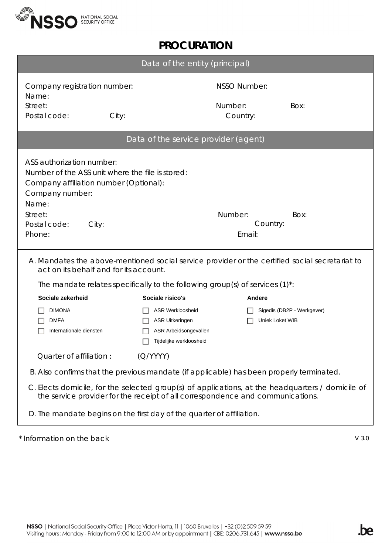

## **PROCURATION**

| Data of the entity (principal)                                                                                                                                                                                                             |                                                                                                       |                     |                            |
|--------------------------------------------------------------------------------------------------------------------------------------------------------------------------------------------------------------------------------------------|-------------------------------------------------------------------------------------------------------|---------------------|----------------------------|
| Company registration number:<br>Name:                                                                                                                                                                                                      |                                                                                                       | <b>NSSO Number:</b> |                            |
| Street:<br>Postal code:<br>City:                                                                                                                                                                                                           |                                                                                                       | Number:<br>Country: | Box:                       |
| Data of the service provider (agent)                                                                                                                                                                                                       |                                                                                                       |                     |                            |
| ASS authorization number:<br>Number of the ASS unit where the file is stored:<br>Company affiliation number (Optional):<br>Company number:<br>Name:<br>Street:<br>Number:<br>Box:<br>Country:<br>Postal code:<br>City:<br>Email:<br>Phone: |                                                                                                       |                     |                            |
| A. Mandates the above-mentioned social service provider or the certified social secretariat to<br>act on its behalf and for its account.                                                                                                   |                                                                                                       |                     |                            |
| The mandate relates specifically to the following group(s) of services $(1)^*$ :                                                                                                                                                           |                                                                                                       |                     |                            |
| Sociale zekerheid                                                                                                                                                                                                                          | Sociale risico's                                                                                      | Andere              |                            |
| <b>DIMONA</b><br><b>DMFA</b><br>Internationale diensten                                                                                                                                                                                    | <b>ASR Werkloosheid</b><br><b>ASR Uitkeringen</b><br>ASR Arbeidsongevallen<br>Tijdelijke werkloosheid | Uniek Loket WIB     | Sigedis (DB2P - Werkgever) |
| Quarter of affiliation:                                                                                                                                                                                                                    | (Q/YYYY)                                                                                              |                     |                            |
| B. Also confirms that the previous mandate (if applicable) has been properly terminated.                                                                                                                                                   |                                                                                                       |                     |                            |
| C. Elects domicile, for the selected group(s) of applications, at the headquarters / domicile of<br>the service provider for the receipt of all correspondence and communications.                                                         |                                                                                                       |                     |                            |
| D. The mandate begins on the first day of the quarter of affiliation.                                                                                                                                                                      |                                                                                                       |                     |                            |

\* Information on the back V 3.0